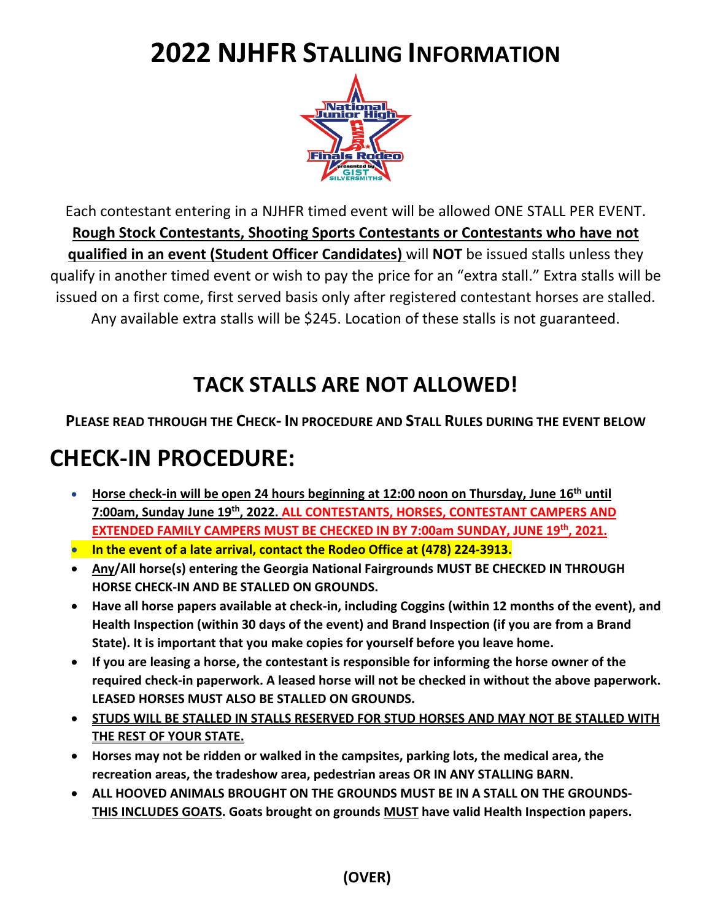# **2022 NJHFR STALLING INFORMATION**



Each contestant entering in a NJHFR timed event will be allowed ONE STALL PER EVENT. **Rough Stock Contestants, Shooting Sports Contestants or Contestants who have not qualified in an event (Student Officer Candidates)** will **NOT** be issued stalls unless they qualify in another timed event or wish to pay the price for an "extra stall." Extra stalls will be issued on a first come, first served basis only after registered contestant horses are stalled. Any available extra stalls will be \$245. Location of these stalls is not guaranteed.

### **TACK STALLS ARE NOT ALLOWED!**

#### **PLEASE READ THROUGH THE CHECK- IN PROCEDURE AND STALL RULES DURING THE EVENT BELOW**

## **CHECK-IN PROCEDURE:**

- **Horse check-in will be open 24 hours beginning at 12:00 noon on Thursday, June 16th until 7:00am, Sunday June 19th, 2022. ALL CONTESTANTS, HORSES, CONTESTANT CAMPERS AND EXTENDED FAMILY CAMPERS MUST BE CHECKED IN BY 7:00am SUNDAY, JUNE 19th, 2021.**
- **In the event of a late arrival, contact the Rodeo Office at (478) 224-3913.**
- **Any/All horse(s) entering the Georgia National Fairgrounds MUST BE CHECKED IN THROUGH HORSE CHECK-IN AND BE STALLED ON GROUNDS.**
- **Have all horse papers available at check-in, including Coggins (within 12 months of the event), and Health Inspection (within 30 days of the event) and Brand Inspection (if you are from a Brand State). It is important that you make copies for yourself before you leave home.**
- **If you are leasing a horse, the contestant is responsible for informing the horse owner of the required check-in paperwork. A leased horse will not be checked in without the above paperwork. LEASED HORSES MUST ALSO BE STALLED ON GROUNDS.**
- **STUDS WILL BE STALLED IN STALLS RESERVED FOR STUD HORSES AND MAY NOT BE STALLED WITH THE REST OF YOUR STATE.**
- **Horses may not be ridden or walked in the campsites, parking lots, the medical area, the recreation areas, the tradeshow area, pedestrian areas OR IN ANY STALLING BARN.**
- **ALL HOOVED ANIMALS BROUGHT ON THE GROUNDS MUST BE IN A STALL ON THE GROUNDS-THIS INCLUDES GOATS. Goats brought on grounds MUST have valid Health Inspection papers.**